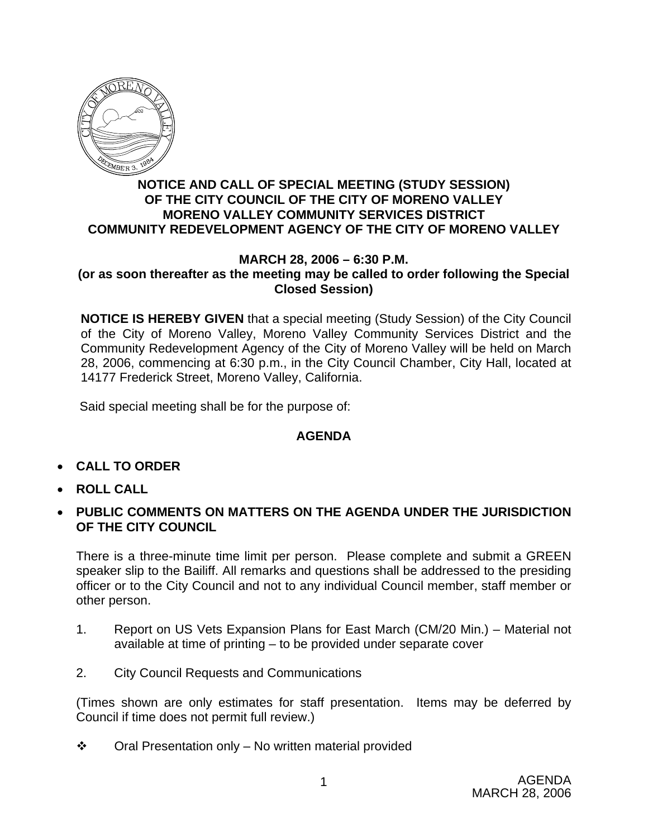

## **NOTICE AND CALL OF SPECIAL MEETING (STUDY SESSION) OF THE CITY COUNCIL OF THE CITY OF MORENO VALLEY MORENO VALLEY COMMUNITY SERVICES DISTRICT COMMUNITY REDEVELOPMENT AGENCY OF THE CITY OF MORENO VALLEY**

## **MARCH 28, 2006 – 6:30 P.M. (or as soon thereafter as the meeting may be called to order following the Special Closed Session)**

**NOTICE IS HEREBY GIVEN** that a special meeting (Study Session) of the City Council of the City of Moreno Valley, Moreno Valley Community Services District and the Community Redevelopment Agency of the City of Moreno Valley will be held on March 28, 2006, commencing at 6:30 p.m., in the City Council Chamber, City Hall, located at 14177 Frederick Street, Moreno Valley, California.

Said special meeting shall be for the purpose of:

## **AGENDA**

- **CALL TO ORDER**
- **ROLL CALL**
- **PUBLIC COMMENTS ON MATTERS ON THE AGENDA UNDER THE JURISDICTION OF THE CITY COUNCIL**

There is a three-minute time limit per person. Please complete and submit a GREEN speaker slip to the Bailiff. All remarks and questions shall be addressed to the presiding officer or to the City Council and not to any individual Council member, staff member or other person.

- 1. Report on US Vets Expansion Plans for East March (CM/20 Min.) Material not available at time of printing – to be provided under separate cover
- 2. City Council Requests and Communications

(Times shown are only estimates for staff presentation. Items may be deferred by Council if time does not permit full review.)

 $\div$  Oral Presentation only – No written material provided